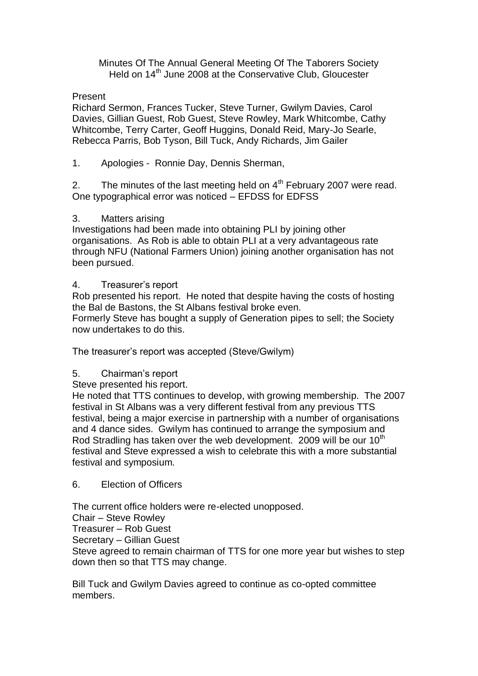Minutes Of The Annual General Meeting Of The Taborers Society Held on 14<sup>th</sup> June 2008 at the Conservative Club, Gloucester

Present

Richard Sermon, Frances Tucker, Steve Turner, Gwilym Davies, Carol Davies, Gillian Guest, Rob Guest, Steve Rowley, Mark Whitcombe, Cathy Whitcombe, Terry Carter, Geoff Huggins, Donald Reid, Mary-Jo Searle, Rebecca Parris, Bob Tyson, Bill Tuck, Andy Richards, Jim Gailer

1. Apologies - Ronnie Day, Dennis Sherman,

2. The minutes of the last meeting held on  $4<sup>th</sup>$  February 2007 were read. One typographical error was noticed – EFDSS for EDFSS

## 3. Matters arising

Investigations had been made into obtaining PLI by joining other organisations. As Rob is able to obtain PLI at a very advantageous rate through NFU (National Farmers Union) joining another organisation has not been pursued.

## 4. Treasurer's report

Rob presented his report. He noted that despite having the costs of hosting the Bal de Bastons, the St Albans festival broke even.

Formerly Steve has bought a supply of Generation pipes to sell; the Society now undertakes to do this.

The treasurer's report was accepted (Steve/Gwilym)

## 5. Chairman's report

Steve presented his report.

He noted that TTS continues to develop, with growing membership. The 2007 festival in St Albans was a very different festival from any previous TTS festival, being a major exercise in partnership with a number of organisations and 4 dance sides. Gwilym has continued to arrange the symposium and Rod Stradling has taken over the web development. 2009 will be our  $10<sup>th</sup>$ festival and Steve expressed a wish to celebrate this with a more substantial festival and symposium.

## 6. Election of Officers

The current office holders were re-elected unopposed.

Chair – Steve Rowley

Treasurer – Rob Guest

Secretary – Gillian Guest

Steve agreed to remain chairman of TTS for one more year but wishes to step down then so that TTS may change.

Bill Tuck and Gwilym Davies agreed to continue as co-opted committee members.